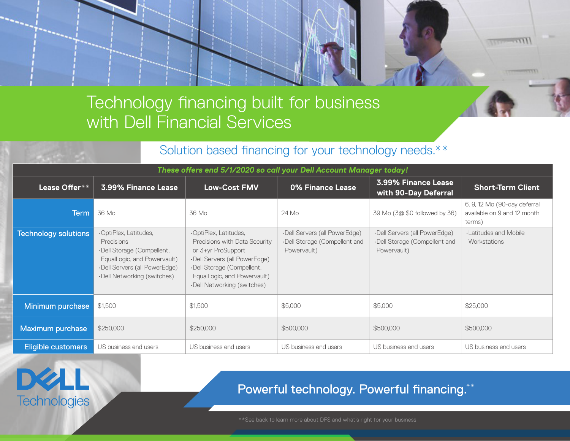# Technology financing built for business with Dell Financial Services

## Solution based financing for your technology needs.\*\*

| These offers end 5/1/2020 so call your Dell Account Manager today! |                                                                                                                                                                  |                                                                                                                                                                                                           |                                                                               |                                                                               |                                                                       |
|--------------------------------------------------------------------|------------------------------------------------------------------------------------------------------------------------------------------------------------------|-----------------------------------------------------------------------------------------------------------------------------------------------------------------------------------------------------------|-------------------------------------------------------------------------------|-------------------------------------------------------------------------------|-----------------------------------------------------------------------|
| Lease Offer**                                                      | 3.99% Finance Lease                                                                                                                                              | <b>Low-Cost FMV</b>                                                                                                                                                                                       | 0% Finance Lease                                                              | 3.99% Finance Lease<br>with 90-Day Deferral                                   | <b>Short-Term Client</b>                                              |
| Term                                                               | 36 Mo                                                                                                                                                            | 36 Mo                                                                                                                                                                                                     | 24 Mo                                                                         | 39 Mo (3@ \$0 followed by 36)                                                 | 6, 9, 12 Mo (90-day deferral<br>available on 9 and 12 month<br>terms) |
| <b>Technology solutions</b>                                        | ·OptiPlex, Latitudes,<br>Precisions<br>·Dell Storage (Compellent,<br>EqualLogic, and Powervault)<br>·Dell Servers (all PowerEdge)<br>·Dell Networking (switches) | ·OptiPlex, Latitudes,<br>Precisions with Data Security<br>or 3+yr ProSupport<br>·Dell Servers (all PowerEdge)<br>·Dell Storage (Compellent,<br>EqualLogic, and Powervault)<br>·Dell Networking (switches) | ·Dell Servers (all PowerEdge)<br>·Dell Storage (Compellent and<br>Powervault) | ·Dell Servers (all PowerEdge)<br>·Dell Storage (Compellent and<br>Powervault) | <b>Latitudes and Mobile</b><br>Workstations                           |
| Minimum purchase                                                   | \$1,500                                                                                                                                                          | \$1,500                                                                                                                                                                                                   | \$5,000                                                                       | \$5,000                                                                       | \$25,000                                                              |
| Maximum purchase                                                   | \$250,000                                                                                                                                                        | \$250,000                                                                                                                                                                                                 | \$500,000                                                                     | \$500,000                                                                     | \$500,000                                                             |
| <b>Eligible customers</b>                                          | US business end users                                                                                                                                            | US business end users                                                                                                                                                                                     | US business end users                                                         | US business end users                                                         | US business end users                                                 |



# Powerful technology. Powerful financing.\*\*

 $11177777111$